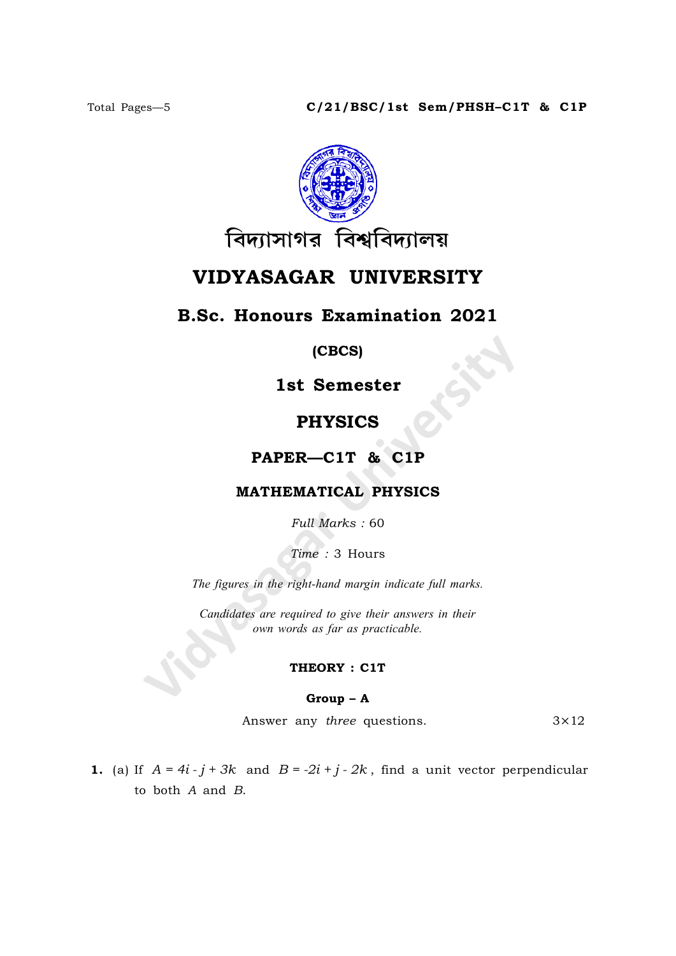

# VIDYASAGAR UNIVERSITY

## B.Sc. Honours Examination 2021

(CBCS)

1st Semester

### PHYSICS

PAPER—C1T & C1P

### MATHEMATICAL PHYSICS

Full Marks : 60

Time : 3 Hours

The figures in the right-hand margin indicate full marks.

Candidates are required to give their answers in their own words as far as practicable.

#### THEORY : C1T

#### Group – A

Answer any *three* questions.  $3 \times 12$ 

1. (a) If  $A = 4i - j + 3k$  and  $B = -2i + j - 2k$ , find a unit vector perpendicular to both A and B.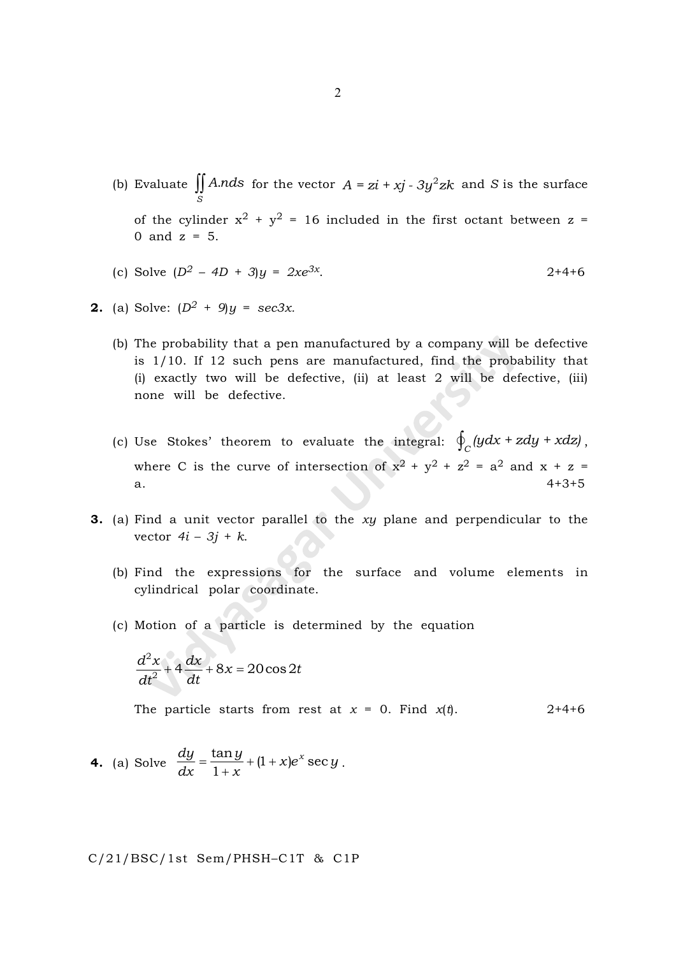- (b) Evaluate  $\iint A. n ds$  for the vector  $A = z\mathbf{i} + x\mathbf{j} 3y^2z\mathbf{k}$  and S is the surface S of the cylinder  $x^2 + y^2 = 16$  included in the first octant between  $z =$ 0 and  $z = 5$ .
- (c) Solve  $(D^2 4D + 3)y = 2xe^{3x}$ .  $2+4+6$

**2.** (a) Solve: 
$$
(D^2 + 9)y = \sec 3x
$$
.

- (b) The probability that a pen manufactured by a company will be defective is 1/10. If 12 such pens are manufactured, find the probability that (i) exactly two will be defective, (ii) at least 2 will be defective, (iii) none will be defective.
- (c) Use Stokes' theorem to evaluate the integral:  $\oint_C (y dx + z dy + x dz)$ , where C is the curve of intersection of  $x^2 + y^2 + z^2 = a^2$  and  $x + z =$ a.  $4+3+5$
- 3. (a) Find a unit vector parallel to the xy plane and perpendicular to the vector  $4i - 3j + k$ .
	- (b) Find the expressions for the surface and volume elements in cylindrical polar coordinate.
	- (c) Motion of a particle is determined by the equation

$$
\frac{d^2x}{dt^2} + 4\frac{dx}{dt} + 8x = 20\cos 2t
$$

The particle starts from rest at  $x = 0$ . Find  $x(t)$ . 2+4+6

**4.** (a) Solve 
$$
\frac{dy}{dx} = \frac{\tan y}{1 + x} + (1 + x)e^{x} \sec y
$$
.

C/21/BSC/1st Sem/PHSH–C1T & C1P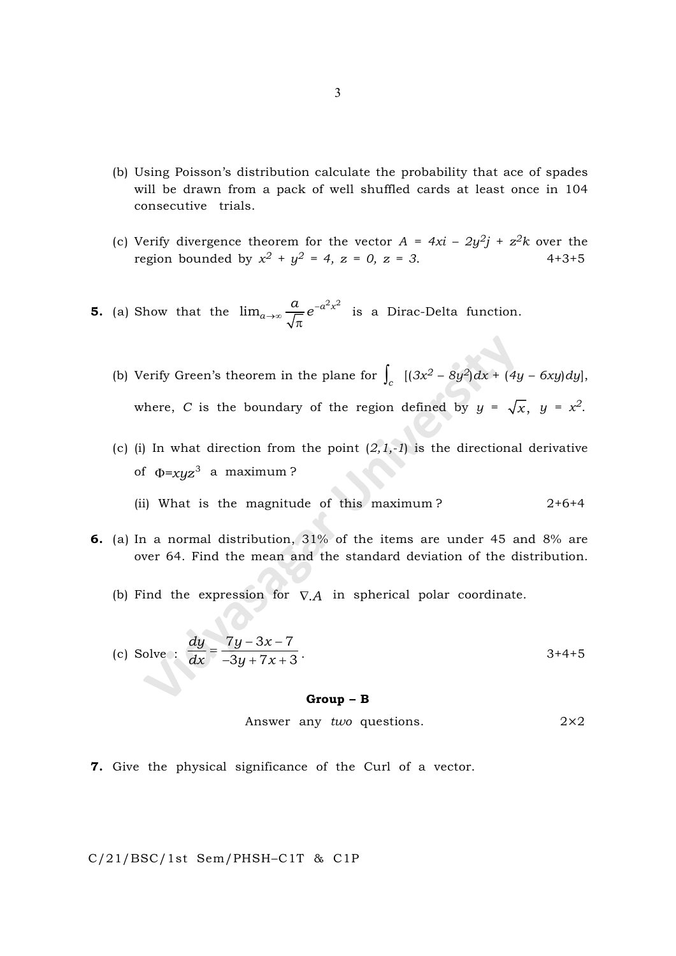- (b) Using Poisson's distribution calculate the probability that ace of spades will be drawn from a pack of well shuffled cards at least once in 104 consecutive trials.
- (c) Verify divergence theorem for the vector  $A = 4xi 2y^2j + z^2k$  over the region bounded by  $x^2 + y^2 = 4$ ,  $z = 0$ ,  $z = 3$ . 4+3+5
- **5.** (a) Show that the  $\lim_{a\to\infty}\frac{a}{\sqrt{a}}e^{-a^2x}$  $\lim_{a\to\infty}\frac{a}{\sqrt{\pi}}e^{-a^2x^2}$  is a Dirac-Delta function.
	- (b) Verify Green's theorem in the plane for  $\int_c$   $[(3x^2 8y^2)dx + (4y 6xy)dy]$ , where, C is the boundary of the region defined by  $y = \sqrt{x}$ ,  $y = x^2$ .
	- (c) (i) In what direction from the point  $(2,1,-1)$  is the directional derivative of  $\Phi = xyz^3$  a maximum?
		- (ii) What is the magnitude of this maximum?  $2+6+4$
- 6. (a) In a normal distribution, 31% of the items are under 45 and 8% are over 64. Find the mean and the standard deviation of the distribution.
	- (b) Find the expression for  $\nabla A$  in spherical polar coordinate.

(c) Solve : 
$$
\frac{dy}{dx} = \frac{7y - 3x - 7}{-3y + 7x + 3}
$$

#### Group – B

Answer any two questions.  $2 \times 2$ 

7. Give the physical significance of the Curl of a vector.

C/21/BSC/1st Sem/PHSH–C1T & C1P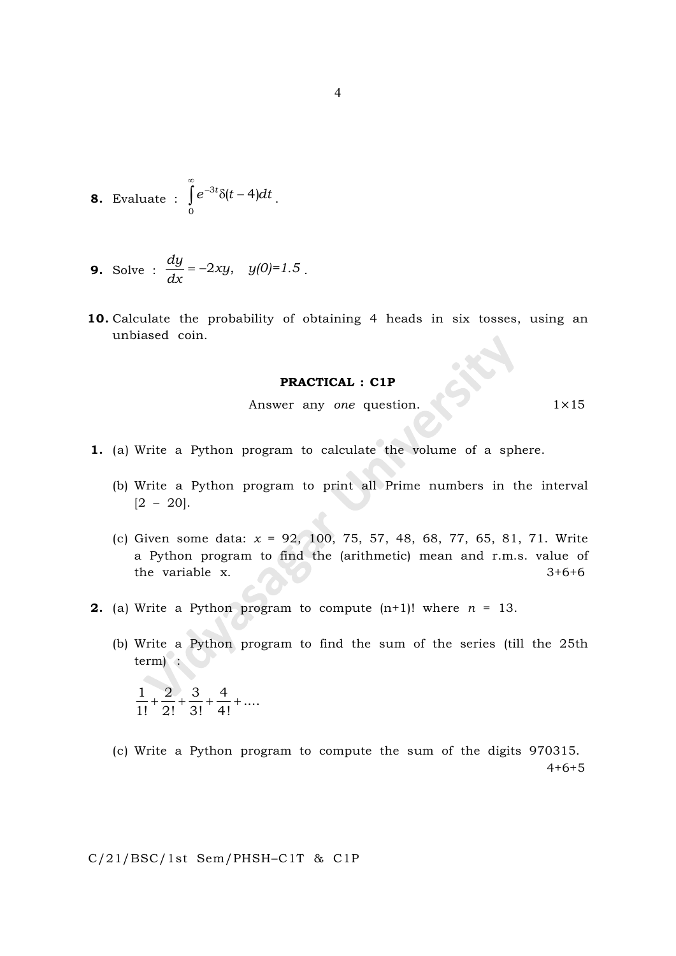**8.** Evaluate : 
$$
\int_{0}^{\infty} e^{-3t} \delta(t-4) dt
$$
.

**9.** Solve : 
$$
\frac{dy}{dx} = -2xy
$$
,  $y(0)=1.5$ .

10. Calculate the probability of obtaining 4 heads in six tosses, using an unbiased coin.

#### PRACTICAL : C1P

Answer any one question. 1×15

- 1. (a) Write a Python program to calculate the volume of a sphere.
	- (b) Write a Python program to print all Prime numbers in the interval  $[2 - 20]$ .
	- (c) Given some data:  $x = 92, 100, 75, 57, 48, 68, 77, 65, 81, 71$ . Write a Python program to find the (arithmetic) mean and r.m.s. value of the variable x. 3+6+6
- **2.** (a) Write a Python program to compute  $(n+1)!$  where  $n = 13$ .
	- (b) Write a Python program to find the sum of the series (till the 25th term) :

 $\frac{1}{1!} + \frac{2}{1!} + \frac{3}{1!} + \frac{4}{1!} + \dots$ 1! 2! 3! 4!  $+$   $+$   $+$   $+$ 

(c) Write a Python program to compute the sum of the digits 970315. 4+6+5

C/21/BSC/1st Sem/PHSH–C1T & C1P